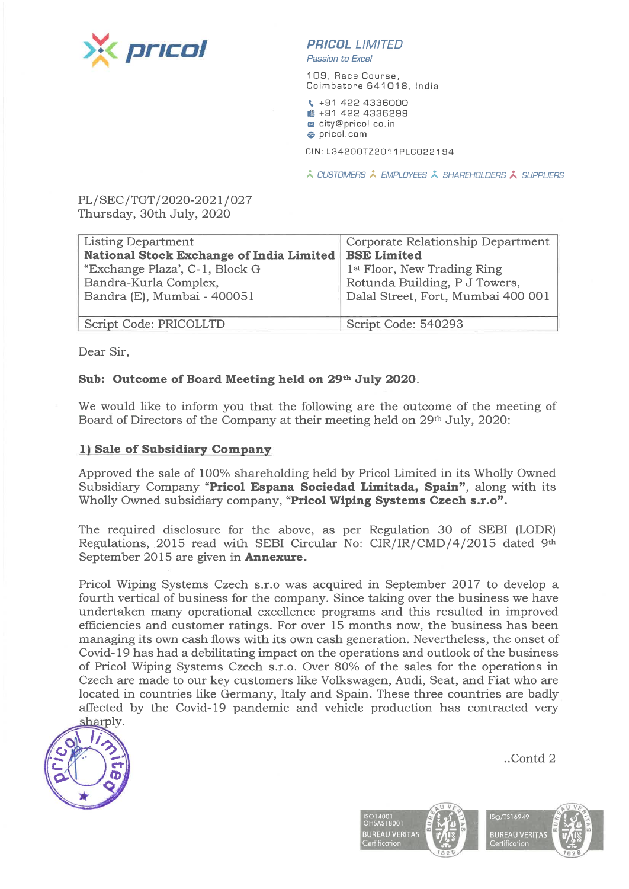

# PRICOL LIMITED

Passion ta Excel

109, Race Course, Coimbatore 641018, India

\. +91 422 4336000  $#$  **+91 422 4336299** <sup>m</sup> city@pricol.co.in  $\bullet$  pricol. com

CIN:L34200TZ2011PLC022194

 $\lambda$  CUSTOMERS  $\lambda$  EMPLOYEES  $\lambda$  SHAREHOLDERS  $\lambda$  SUPPLIERS

PL/SEC/TGT /2020-2021/027 Thursday, 30th July, 2020

| <b>Listing Department</b>                              | Corporate Relationship Department       |  |
|--------------------------------------------------------|-----------------------------------------|--|
| National Stock Exchange of India Limited   BSE Limited |                                         |  |
| "Exchange Plaza', C-1, Block G                         | 1 <sup>st</sup> Floor, New Trading Ring |  |
| Bandra-Kurla Complex,                                  | Rotunda Building, P J Towers,           |  |
| Bandra (E), Mumbai - 400051                            | Dalal Street, Fort, Mumbai 400 001      |  |
|                                                        |                                         |  |
| Script Code: PRICOLLTD                                 | Script Code: 540293                     |  |

Dear Sir,

#### Sub: Outcome of Board Meeting held on 29th July 2020.

We would like to inform you that the following are the outcome of the meeting of Board of Directors of the Company at their meeting held on 29th July, 2020:

#### 1) Sale of Subsidiary Company

Approved the sale of 100% shareholding held by Pricol Limited in its Wholly Owned Subsidiary Company "Pricol Espana Sociedad Limitada, Spain", along with its Wholly Owned subsidiary company, "Pricol Wiping Systems Czech s.r.o".

The required disclosure for the above, as per Regulation 30 of SEBI (LODR) Regulations, 2015 read with SEBI Circular No: CIR/IR/CMD/4/2015 dated 9th September 2015 are given in **Annexure.** 

Pricol Wiping Systems Czech s.r.o was acquired in September 2017 to develop <sup>a</sup> fourth vertical of business for the company. Since taking over the business we have undertaken many operational excellence programs and this resulted in improved efficiencies and customer ratings. For over 15 months now, the business has been managing its own cash flows with its own cash generation. Nevertheless, the onset of Covid-19 has had <sup>a</sup> debilitating impact on the operations and outlook of the business of Pricol Wiping Systems Czech s.r.o. Over 80% of the sales for the operations in Czech are made to our key customers like Volkswagen, Audi, Seat, and Fiat who are located in countries like Germany, Italy and Spain. These three countries are badly affected by the Covid-19 pandemic and vehicle production has contracted very sharply.



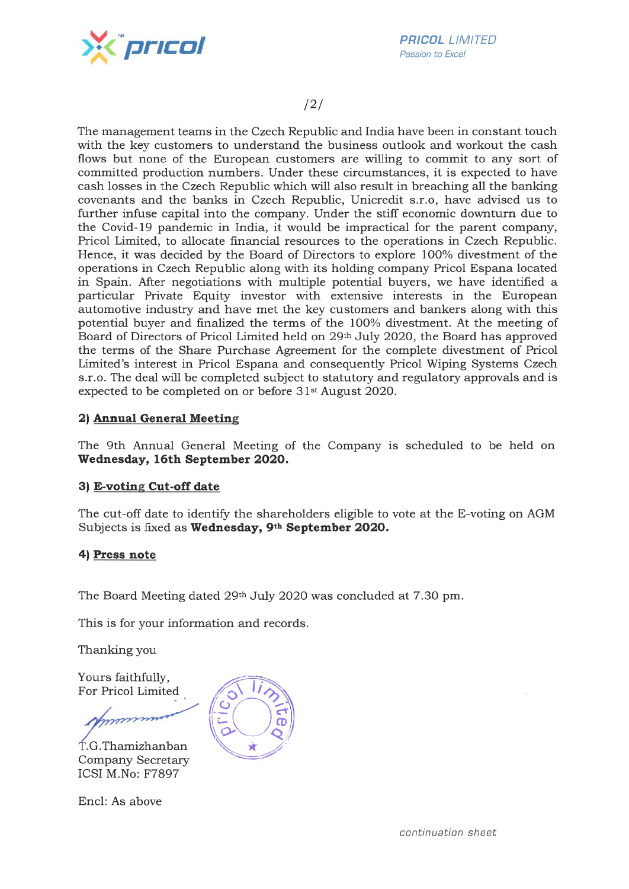

PR/COL LIMITED Passion to Excel

## /2/

The management teams in the Czech Republic and India have been in constant touch with the key customers to understand the business outlook and workout the cash flows but none of the European customers are willing to commit to any sort of committed production numbers. Under these circumstances, it is expected to have cash losses in the Czech Republic which will also result in breaching all the banking covenants and the banks in Czech Republic, Unicredit s.r.o, have advised us to further infuse capital into the company. Under the stiff economic downturn due to the Covid-19 pandemic in India, it would be impractical for the parent company, Pricol Limited, to allocate financial resources to the operations in Czech Republic. Hence, it was decided by the Board of Directors to explore 100% divestment of the operations in Czech Republic along with its holding company Pricol Espana located in Spain. After negotiations with multiple potential buyers, we have identified <sup>a</sup> particular Private Equity investor with extensive interests in the European automotive industry and have met the key customers and bankers along with this potential buyer and finalized the terms of the 100% divestment. At the meeting of Board of Directors of Pricol Limited held on 29th July 2020, the Board has approved the terms of the Share Purchase Agreement for the complete divestment of Pricol Limited's interest in Pricol Espana and consequently Pricol Wiping Systems Czech s.r.o. The deal will be completed subject to statutory and regulatory approvals and is expected to be completed on or before 31st August 2020.

## 2) Annual General Meeting

The 9th Annual General Meeting of the Company is scheduled to be held on Wednesday, 16th September 2020.

## 3) E-voting Cut-off date

The cut-off date to identify the shareholders eligible to vote at the E-voting on AGM Subjects is fixed as Wednesday, 9th September 2020.

## 4) Press note

The Board Meeting dated 29th July 2020 was concluded at 7 .30 pm.

This is for your information and records.

Thanking you

Yours faithfully, For Pricol Limited

. G. Thamizhanban Company Secretary ICSI M.No: F7897

Encl: As above

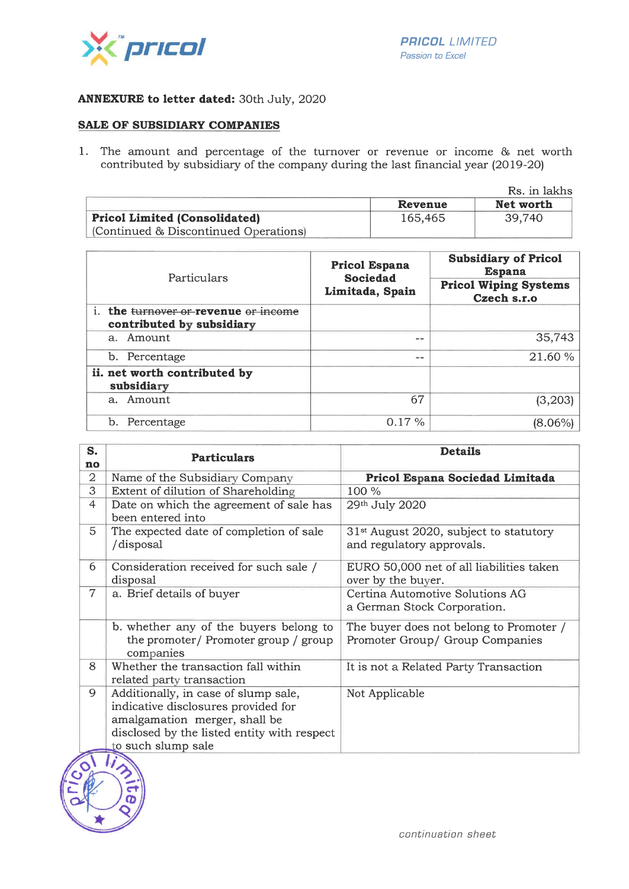

#### ANNEXURE to letter dated: 30th July, 2020

#### SALE OF SUBSIDIARY COMPANIES

1. The amount and percentage of the turnover or revenue or income & net worth contributed by subsidiary of the company during the last financial year (2019-20)

|                                      | Rs. in lakhs |           |  |
|--------------------------------------|--------------|-----------|--|
|                                      | Revenue      | Net worth |  |
| <b>Pricol Limited (Consolidated)</b> | 165.465      | 39.740    |  |
| Continued & Discontinued Operations  |              |           |  |

| Particulars                                                       | Pricol Espana<br><b>Sociedad</b><br>Limitada, Spain | <b>Subsidiary of Pricol</b><br><b>Espana</b><br><b>Pricol Wiping Systems</b><br>Czech s.r.o |
|-------------------------------------------------------------------|-----------------------------------------------------|---------------------------------------------------------------------------------------------|
| i. the turnover or revenue or income<br>contributed by subsidiary |                                                     |                                                                                             |
| a. Amount                                                         | --                                                  | 35,743                                                                                      |
| b. Percentage                                                     | --                                                  | 21.60%                                                                                      |
| ii. net worth contributed by<br>subsidiary                        |                                                     |                                                                                             |
| a. Amount                                                         | 67                                                  | (3,203)                                                                                     |
| Percentage                                                        | 0.17%                                               | (8.06%)                                                                                     |

| S.             | <b>Particulars</b>                          | <b>Details</b>                                     |
|----------------|---------------------------------------------|----------------------------------------------------|
| no             |                                             |                                                    |
| $\overline{2}$ | Name of the Subsidiary Company              | Pricol Espana Sociedad Limitada                    |
| 3              | Extent of dilution of Shareholding          | 100 %                                              |
| 4              | Date on which the agreement of sale has     | 29th July 2020                                     |
|                | been entered into                           |                                                    |
| 5              | The expected date of completion of sale     | 31 <sup>st</sup> August 2020, subject to statutory |
|                | /disposal                                   | and regulatory approvals.                          |
| 6              | Consideration received for such sale /      | EURO 50,000 net of all liabilities taken           |
|                | disposal                                    | over by the buyer.                                 |
| $\overline{7}$ | a. Brief details of buyer                   | Certina Automotive Solutions AG                    |
|                |                                             | a German Stock Corporation.                        |
|                | b. whether any of the buyers belong to      | The buyer does not belong to Promoter /            |
|                | the promoter/ Promoter group / group        | Promoter Group/ Group Companies                    |
|                | companies                                   |                                                    |
| 8              | Whether the transaction fall within         | It is not a Related Party Transaction              |
|                | related party transaction                   |                                                    |
| 9              | Additionally, in case of slump sale,        | Not Applicable                                     |
|                | indicative disclosures provided for         |                                                    |
|                | amalgamation merger, shall be               |                                                    |
|                | disclosed by the listed entity with respect |                                                    |
|                | to such slump sale                          |                                                    |
|                |                                             |                                                    |